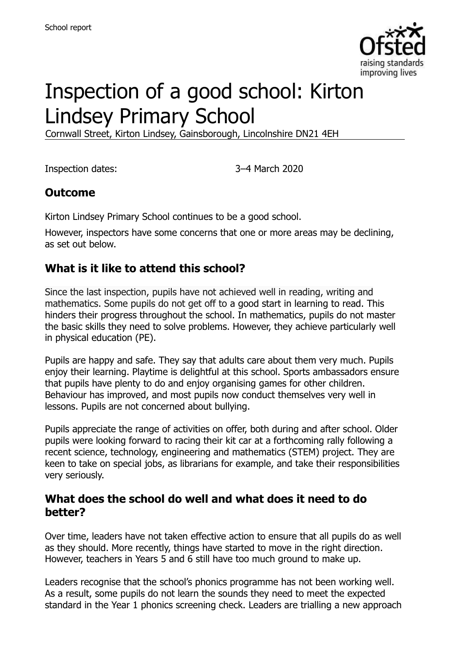

# Inspection of a good school: Kirton Lindsey Primary School

Cornwall Street, Kirton Lindsey, Gainsborough, Lincolnshire DN21 4EH

Inspection dates: 3–4 March 2020

# **Outcome**

Kirton Lindsey Primary School continues to be a good school.

However, inspectors have some concerns that one or more areas may be declining, as set out below.

# **What is it like to attend this school?**

Since the last inspection, pupils have not achieved well in reading, writing and mathematics. Some pupils do not get off to a good start in learning to read. This hinders their progress throughout the school. In mathematics, pupils do not master the basic skills they need to solve problems. However, they achieve particularly well in physical education (PE).

Pupils are happy and safe. They say that adults care about them very much. Pupils enjoy their learning. Playtime is delightful at this school. Sports ambassadors ensure that pupils have plenty to do and enjoy organising games for other children. Behaviour has improved, and most pupils now conduct themselves very well in lessons. Pupils are not concerned about bullying.

Pupils appreciate the range of activities on offer, both during and after school. Older pupils were looking forward to racing their kit car at a forthcoming rally following a recent science, technology, engineering and mathematics (STEM) project. They are keen to take on special jobs, as librarians for example, and take their responsibilities very seriously.

#### **What does the school do well and what does it need to do better?**

Over time, leaders have not taken effective action to ensure that all pupils do as well as they should. More recently, things have started to move in the right direction. However, teachers in Years 5 and 6 still have too much ground to make up.

Leaders recognise that the school's phonics programme has not been working well. As a result, some pupils do not learn the sounds they need to meet the expected standard in the Year 1 phonics screening check. Leaders are trialling a new approach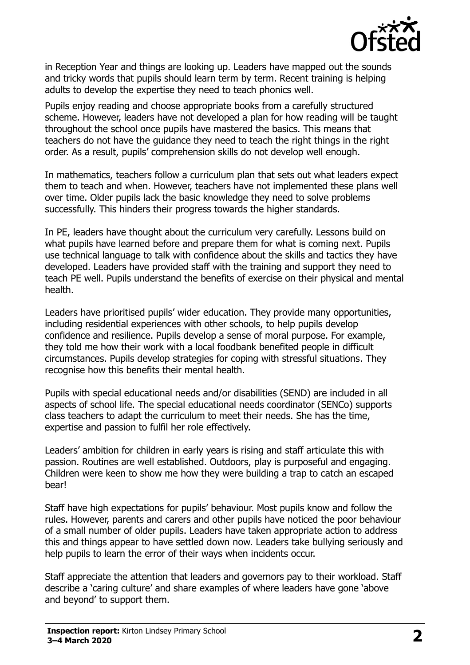

in Reception Year and things are looking up. Leaders have mapped out the sounds and tricky words that pupils should learn term by term. Recent training is helping adults to develop the expertise they need to teach phonics well.

Pupils enjoy reading and choose appropriate books from a carefully structured scheme. However, leaders have not developed a plan for how reading will be taught throughout the school once pupils have mastered the basics. This means that teachers do not have the guidance they need to teach the right things in the right order. As a result, pupils' comprehension skills do not develop well enough.

In mathematics, teachers follow a curriculum plan that sets out what leaders expect them to teach and when. However, teachers have not implemented these plans well over time. Older pupils lack the basic knowledge they need to solve problems successfully. This hinders their progress towards the higher standards.

In PE, leaders have thought about the curriculum very carefully. Lessons build on what pupils have learned before and prepare them for what is coming next. Pupils use technical language to talk with confidence about the skills and tactics they have developed. Leaders have provided staff with the training and support they need to teach PE well. Pupils understand the benefits of exercise on their physical and mental health.

Leaders have prioritised pupils' wider education. They provide many opportunities, including residential experiences with other schools, to help pupils develop confidence and resilience. Pupils develop a sense of moral purpose. For example, they told me how their work with a local foodbank benefited people in difficult circumstances. Pupils develop strategies for coping with stressful situations. They recognise how this benefits their mental health.

Pupils with special educational needs and/or disabilities (SEND) are included in all aspects of school life. The special educational needs coordinator (SENCo) supports class teachers to adapt the curriculum to meet their needs. She has the time, expertise and passion to fulfil her role effectively.

Leaders' ambition for children in early years is rising and staff articulate this with passion. Routines are well established. Outdoors, play is purposeful and engaging. Children were keen to show me how they were building a trap to catch an escaped bear!

Staff have high expectations for pupils' behaviour. Most pupils know and follow the rules. However, parents and carers and other pupils have noticed the poor behaviour of a small number of older pupils. Leaders have taken appropriate action to address this and things appear to have settled down now. Leaders take bullying seriously and help pupils to learn the error of their ways when incidents occur.

Staff appreciate the attention that leaders and governors pay to their workload. Staff describe a 'caring culture' and share examples of where leaders have gone 'above and beyond' to support them.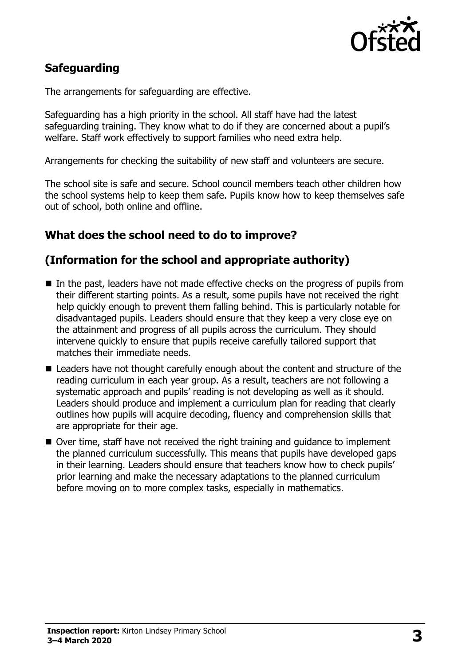

# **Safeguarding**

The arrangements for safeguarding are effective.

Safeguarding has a high priority in the school. All staff have had the latest safeguarding training. They know what to do if they are concerned about a pupil's welfare. Staff work effectively to support families who need extra help.

Arrangements for checking the suitability of new staff and volunteers are secure.

The school site is safe and secure. School council members teach other children how the school systems help to keep them safe. Pupils know how to keep themselves safe out of school, both online and offline.

## **What does the school need to do to improve?**

#### **(Information for the school and appropriate authority)**

- $\blacksquare$  In the past, leaders have not made effective checks on the progress of pupils from their different starting points. As a result, some pupils have not received the right help quickly enough to prevent them falling behind. This is particularly notable for disadvantaged pupils. Leaders should ensure that they keep a very close eye on the attainment and progress of all pupils across the curriculum. They should intervene quickly to ensure that pupils receive carefully tailored support that matches their immediate needs.
- Leaders have not thought carefully enough about the content and structure of the reading curriculum in each year group. As a result, teachers are not following a systematic approach and pupils' reading is not developing as well as it should. Leaders should produce and implement a curriculum plan for reading that clearly outlines how pupils will acquire decoding, fluency and comprehension skills that are appropriate for their age.
- Over time, staff have not received the right training and guidance to implement the planned curriculum successfully. This means that pupils have developed gaps in their learning. Leaders should ensure that teachers know how to check pupils' prior learning and make the necessary adaptations to the planned curriculum before moving on to more complex tasks, especially in mathematics.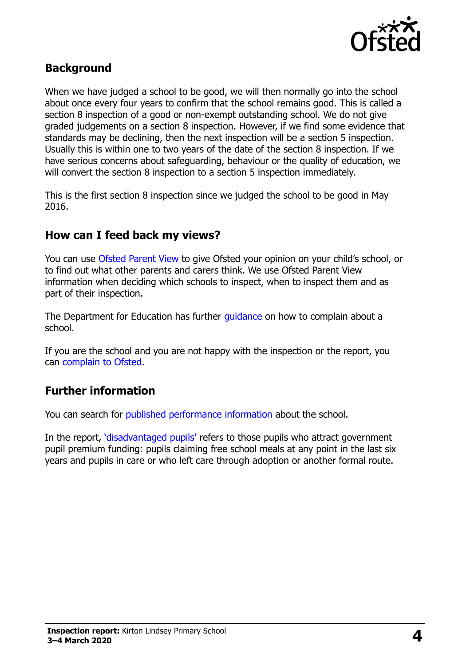

# **Background**

When we have judged a school to be good, we will then normally go into the school about once every four years to confirm that the school remains good. This is called a section 8 inspection of a good or non-exempt outstanding school. We do not give graded judgements on a section 8 inspection. However, if we find some evidence that standards may be declining, then the next inspection will be a section 5 inspection. Usually this is within one to two years of the date of the section 8 inspection. If we have serious concerns about safeguarding, behaviour or the quality of education, we will convert the section 8 inspection to a section 5 inspection immediately.

This is the first section 8 inspection since we judged the school to be good in May 2016.

## **How can I feed back my views?**

You can use [Ofsted Parent View](https://parentview.ofsted.gov.uk/) to give Ofsted your opinion on your child's school, or to find out what other parents and carers think. We use Ofsted Parent View information when deciding which schools to inspect, when to inspect them and as part of their inspection.

The Department for Education has further quidance on how to complain about a school.

If you are the school and you are not happy with the inspection or the report, you can [complain to Ofsted.](https://www.gov.uk/complain-ofsted-report)

## **Further information**

You can search for [published performance information](http://www.compare-school-performance.service.gov.uk/) about the school.

In the report, '[disadvantaged pupils](http://www.gov.uk/guidance/pupil-premium-information-for-schools-and-alternative-provision-settings)' refers to those pupils who attract government pupil premium funding: pupils claiming free school meals at any point in the last six years and pupils in care or who left care through adoption or another formal route.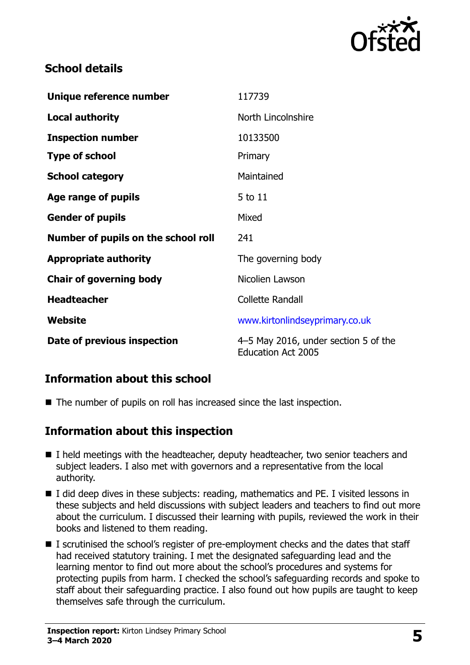

# **School details**

| Unique reference number             | 117739                                                            |
|-------------------------------------|-------------------------------------------------------------------|
| <b>Local authority</b>              | North Lincolnshire                                                |
| <b>Inspection number</b>            | 10133500                                                          |
| <b>Type of school</b>               | Primary                                                           |
| <b>School category</b>              | Maintained                                                        |
| Age range of pupils                 | 5 to 11                                                           |
| <b>Gender of pupils</b>             | Mixed                                                             |
| Number of pupils on the school roll | 241                                                               |
| <b>Appropriate authority</b>        | The governing body                                                |
| <b>Chair of governing body</b>      | Nicolien Lawson                                                   |
| <b>Headteacher</b>                  | Collette Randall                                                  |
| Website                             | www.kirtonlindseyprimary.co.uk                                    |
| Date of previous inspection         | 4–5 May 2016, under section 5 of the<br><b>Education Act 2005</b> |

## **Information about this school**

■ The number of pupils on roll has increased since the last inspection.

## **Information about this inspection**

- I held meetings with the headteacher, deputy headteacher, two senior teachers and subject leaders. I also met with governors and a representative from the local authority.
- I did deep dives in these subjects: reading, mathematics and PE. I visited lessons in these subjects and held discussions with subject leaders and teachers to find out more about the curriculum. I discussed their learning with pupils, reviewed the work in their books and listened to them reading.
- I scrutinised the school's register of pre-employment checks and the dates that staff had received statutory training. I met the designated safeguarding lead and the learning mentor to find out more about the school's procedures and systems for protecting pupils from harm. I checked the school's safeguarding records and spoke to staff about their safeguarding practice. I also found out how pupils are taught to keep themselves safe through the curriculum.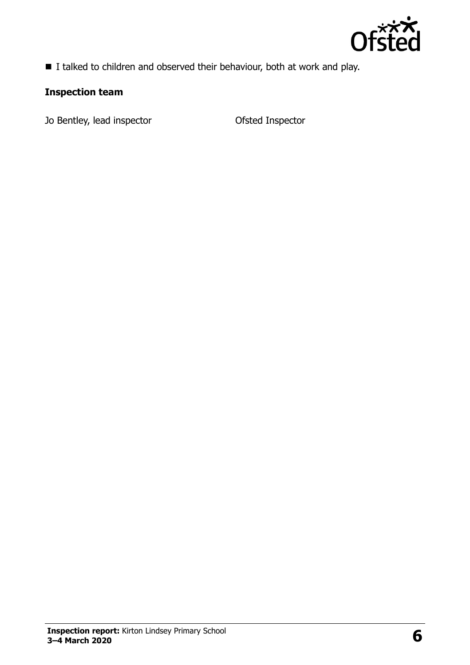

■ I talked to children and observed their behaviour, both at work and play.

#### **Inspection team**

Jo Bentley, lead inspector **CENET CONTERNATION** Ofsted Inspector